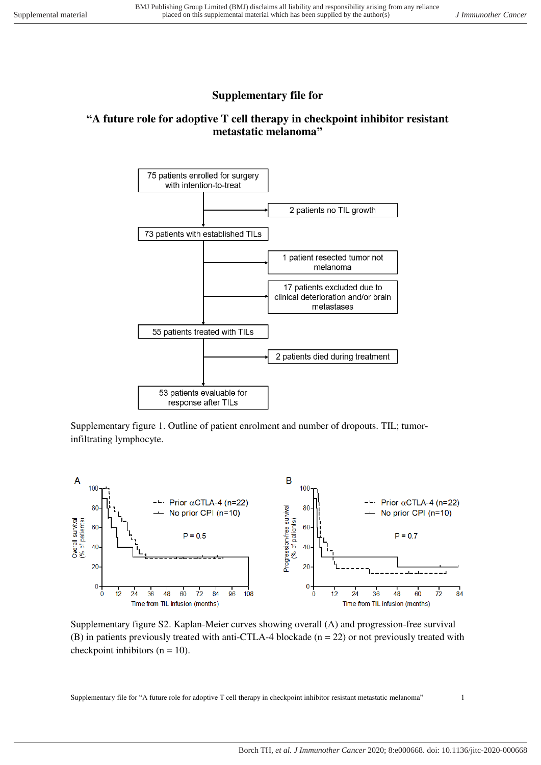## **Supplementary file for**

## **"A future role for adoptive T cell therapy in checkpoint inhibitor resistant metastatic melanoma"**



Supplementary figure 1. Outline of patient enrolment and number of dropouts. TIL; tumorinfiltrating lymphocyte.



Supplementary figure S2. Kaplan-Meier curves showing overall (A) and progression-free survival (B) in patients previously treated with anti-CTLA-4 blockade ( $n = 22$ ) or not previously treated with checkpoint inhibitors  $(n = 10)$ .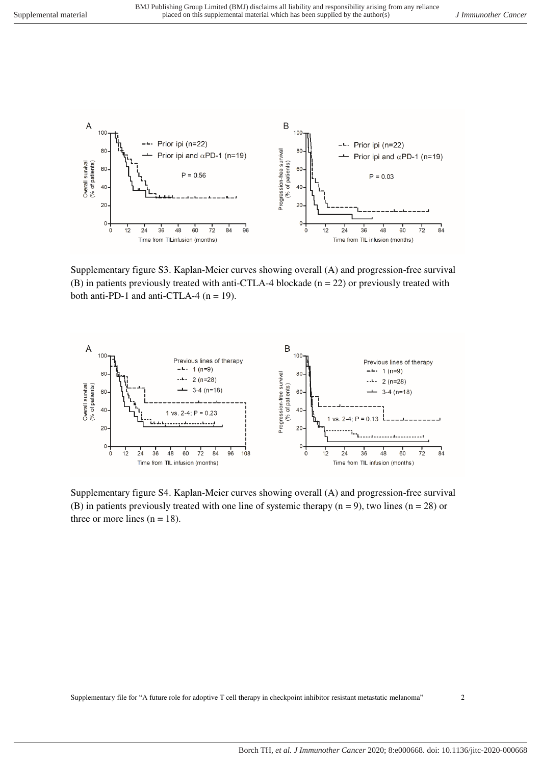

Supplementary figure S3. Kaplan-Meier curves showing overall (A) and progression-free survival (B) in patients previously treated with anti-CTLA-4 blockade ( $n = 22$ ) or previously treated with both anti-PD-1 and anti-CTLA-4 ( $n = 19$ ).



Supplementary figure S4. Kaplan-Meier curves showing overall (A) and progression-free survival (B) in patients previously treated with one line of systemic therapy  $(n = 9)$ , two lines  $(n = 28)$  or three or more lines  $(n = 18)$ .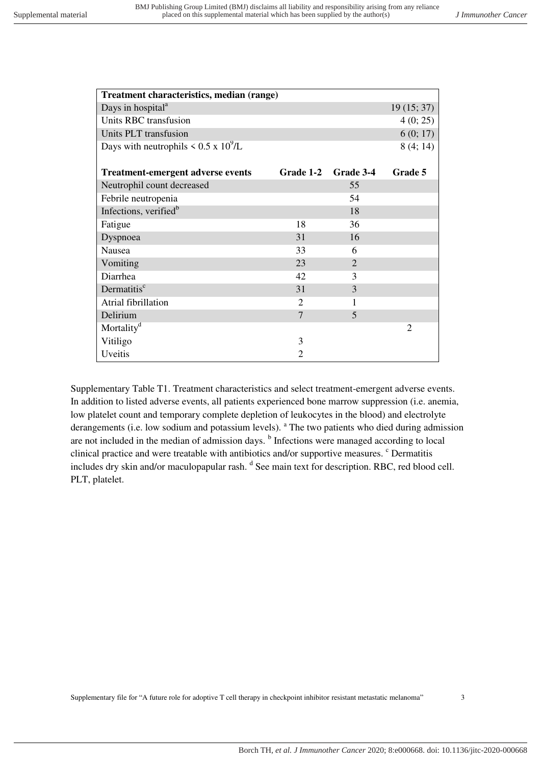| Treatment characteristics, median (range)       |                |                |                |  |  |
|-------------------------------------------------|----------------|----------------|----------------|--|--|
| Days in hospital <sup>a</sup>                   |                |                | 19(15; 37)     |  |  |
| Units RBC transfusion                           |                |                | 4(0; 25)       |  |  |
| Units PLT transfusion                           |                |                | 6(0; 17)       |  |  |
| Days with neutrophils $\leq 0.5 \times 10^9$ /L |                |                | 8(4; 14)       |  |  |
|                                                 |                |                |                |  |  |
| <b>Treatment-emergent adverse events</b>        | Grade 1-2      | Grade 3-4      | Grade 5        |  |  |
| Neutrophil count decreased                      |                | 55             |                |  |  |
| Febrile neutropenia                             |                | 54             |                |  |  |
| Infections, verified <sup>b</sup>               |                | 18             |                |  |  |
| Fatigue                                         | 18             | 36             |                |  |  |
| Dyspnoea                                        | 31             | 16             |                |  |  |
| Nausea                                          | 33             | 6              |                |  |  |
| Vomiting                                        | 23             | $\overline{2}$ |                |  |  |
| Diarrhea                                        | 42             | 3              |                |  |  |
| Dermatitis <sup>c</sup>                         | 31             | 3              |                |  |  |
| Atrial fibrillation                             | $\overline{2}$ | 1              |                |  |  |
| Delirium                                        | 7              | 5              |                |  |  |
| Mortality <sup>d</sup>                          |                |                | $\overline{2}$ |  |  |
| Vitiligo                                        | 3              |                |                |  |  |
| Uveitis                                         | $\overline{2}$ |                |                |  |  |

Supplementary Table T1. Treatment characteristics and select treatment-emergent adverse events. In addition to listed adverse events, all patients experienced bone marrow suppression (i.e. anemia, low platelet count and temporary complete depletion of leukocytes in the blood) and electrolyte derangements (i.e. low sodium and potassium levels). <sup>a</sup> The two patients who died during admission are not included in the median of admission days. <sup>b</sup> Infections were managed according to local clinical practice and were treatable with antibiotics and/or supportive measures. <sup>c</sup> Dermatitis includes dry skin and/or maculopapular rash. <sup>d</sup> See main text for description. RBC, red blood cell. PLT, platelet.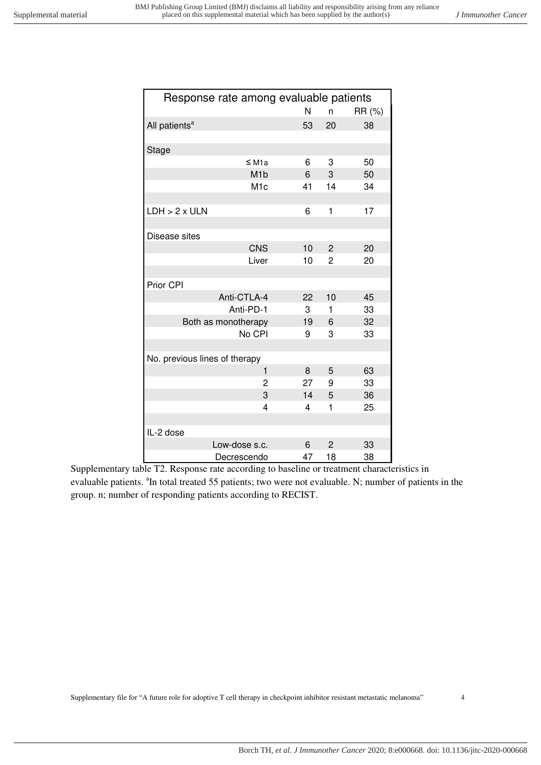| Response rate among evaluable patients |    |                |        |
|----------------------------------------|----|----------------|--------|
|                                        | N  | n              | RR (%) |
| All patients <sup>a</sup>              | 53 | 20             | 38     |
|                                        |    |                |        |
| Stage                                  |    |                |        |
| $\leq M1a$                             | 6  | 3              | 50     |
| M <sub>1</sub> b                       | 6  | 3              | 50     |
| M <sub>1</sub> c                       | 41 | 14             | 34     |
|                                        |    |                |        |
| $LDH > 2 \times ULN$                   | 6  | 1              | 17     |
|                                        |    |                |        |
| Disease sites                          |    |                |        |
| <b>CNS</b>                             | 10 | $\overline{c}$ | 20     |
| Liver                                  | 10 | 2              | 20     |
|                                        |    |                |        |
| Prior CPI                              |    |                |        |
| Anti-CTLA-4                            | 22 | 10             | 45     |
| Anti-PD-1                              | 3  | 1              | 33     |
| Both as monotherapy                    | 19 | 6              | 32     |
| No CPI                                 | 9  | 3              | 33     |
| No. previous lines of therapy          |    |                |        |
| 1                                      | 8  | 5              | 63     |
| $\overline{c}$                         | 27 | 9              | 33     |
| 3                                      | 14 | 5              | 36     |
| $\overline{4}$                         | 4  | 1              | 25     |
|                                        |    |                |        |
| IL-2 dose                              |    |                |        |
| Low-dose s.c.                          | 6  | $\overline{2}$ | 33     |
| Decrescendo                            | 47 | 18             | 38     |

Supplementary table T2. Response rate according to baseline or treatment characteristics in evaluable patients. <sup>a</sup>In total treated 55 patients; two were not evaluable. N; number of patients in the group. n; number of responding patients according to RECIST.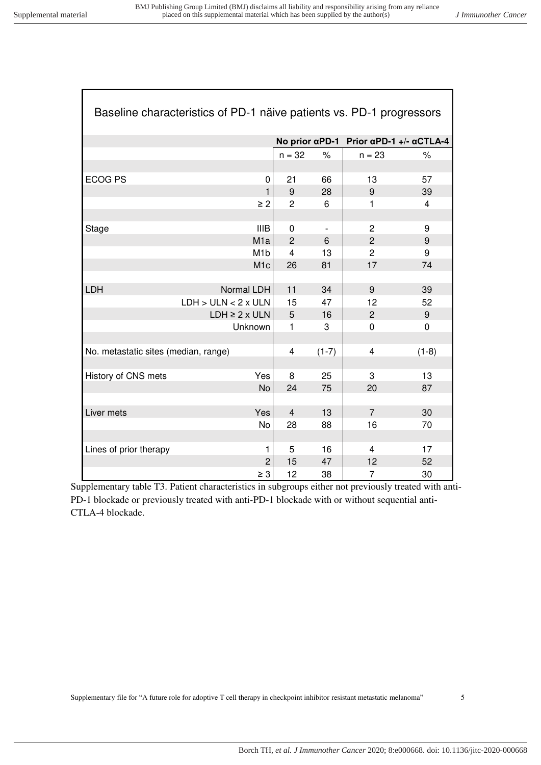Г

┓

| Baseline characteristics of PD-1 näive patients vs. PD-1 progressors |                         |                |                          |                                                                |         |
|----------------------------------------------------------------------|-------------------------|----------------|--------------------------|----------------------------------------------------------------|---------|
|                                                                      |                         |                |                          | No prior $\alpha$ PD-1 Prior $\alpha$ PD-1 +/- $\alpha$ CTLA-4 |         |
|                                                                      |                         | $n = 32$       | $\%$                     | $n = 23$                                                       | $\%$    |
|                                                                      |                         |                |                          |                                                                |         |
| <b>ECOG PS</b>                                                       | $\Omega$                | 21             | 66                       | 13                                                             | 57      |
|                                                                      | 1                       | 9              | 28                       | 9                                                              | 39      |
|                                                                      | $\geq 2$                | $\overline{c}$ | 6                        | 1                                                              | 4       |
|                                                                      |                         |                |                          |                                                                |         |
| Stage                                                                | <b>IIIB</b>             | $\Omega$       | $\overline{\phantom{a}}$ | $\overline{c}$                                                 | 9       |
|                                                                      | M <sub>1</sub> a        | $\overline{2}$ | 6                        | $\overline{2}$                                                 | 9       |
|                                                                      | M <sub>1</sub> b        | 4              | 13                       | $\overline{2}$                                                 | 9       |
|                                                                      | M <sub>1</sub> c        | 26             | 81                       | 17                                                             | 74      |
|                                                                      |                         |                |                          |                                                                |         |
| <b>LDH</b>                                                           | Normal LDH              | 11             | 34                       | 9                                                              | 39      |
|                                                                      | LDH > ULN < 2x ULN      | 15             | 47                       | 12                                                             | 52      |
|                                                                      | $LDH \geq 2 \times ULN$ | 5              | 16                       | $\overline{2}$                                                 | 9       |
|                                                                      | Unknown                 | $\mathbf{1}$   | 3                        | 0                                                              | 0       |
|                                                                      |                         |                |                          |                                                                |         |
| No. metastatic sites (median, range)                                 |                         | 4              | $(1-7)$                  | 4                                                              | $(1-8)$ |
|                                                                      |                         |                |                          |                                                                |         |
| History of CNS mets                                                  | Yes                     | 8              | 25                       | 3                                                              | 13      |
|                                                                      | No                      | 24             | 75                       | 20                                                             | 87      |
|                                                                      |                         |                |                          |                                                                |         |
| Liver mets                                                           | Yes                     | $\overline{4}$ | 13                       | $\overline{7}$                                                 | 30      |
|                                                                      | No                      | 28             | 88                       | 16                                                             | 70      |
|                                                                      |                         |                |                          |                                                                |         |
| Lines of prior therapy                                               | 1                       | 5              | 16                       | $\overline{4}$                                                 | 17      |
|                                                                      | $\overline{2}$          | 15             | 47                       | 12                                                             | 52      |
|                                                                      | $\geq 3$                | 12             | 38                       | 7                                                              | 30      |

Supplementary table T3. Patient characteristics in subgroups either not previously treated with anti-PD-1 blockade or previously treated with anti-PD-1 blockade with or without sequential anti-CTLA-4 blockade.